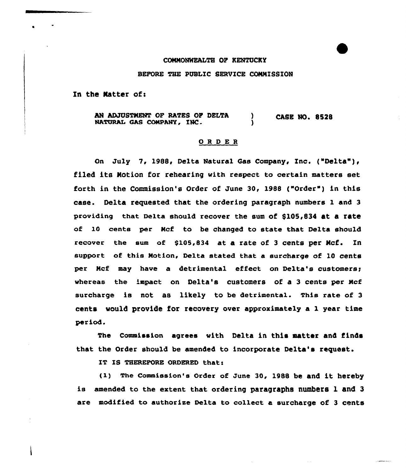## CONNONWRALTB OF KENTUCKY

BEFORE THE PUBLIC SERVICE CONNISSION

In the Matter of:

AN ADJUSTMENT OF RATES OF DELTA (ASE NO. 8528<br>NATURAL GAS COMPANY, INC. (2008)

## ORDER

On July 7, 1988, Delta Natural Gas Company, Inc. ("Delta"), filed its Notion for rehearing with respect to certain matters set forth in the Commission's Order of June 30, 1988 ("Order") in this case. Delta requested that the ordering paragraph numbers 1 and 3 providing that Delta should recover the sum of \$105,834 at a rate of 10 cents per Ncf to be changed to state that Delta should recover the sum of \$105,834 at a rate of 3 cents per Ncf. In support of this Notion, Delta stated that a surcharge of 10 cents per Mcf may have a detrimental effect on Delta's customers; whereas the impact on Delta's customers of a 3 cents per Ncf surcharge is not as likely to be detrimental. This rate of 3 cents would provide for recovery over approximately a 1 year time period.

The Commission agrees with Delta in this matter and finds that the Order should be amended to incorporate Delta's request.

IT IS THEREFORE ORDERED that:

(I) The Commission's Order of June 30, <sup>1988</sup> be and it hereby is amended to the extent that ordering paragraphs numbers 1 and 3 are modified to authorize Delta to collect a surcharge of 3 cents